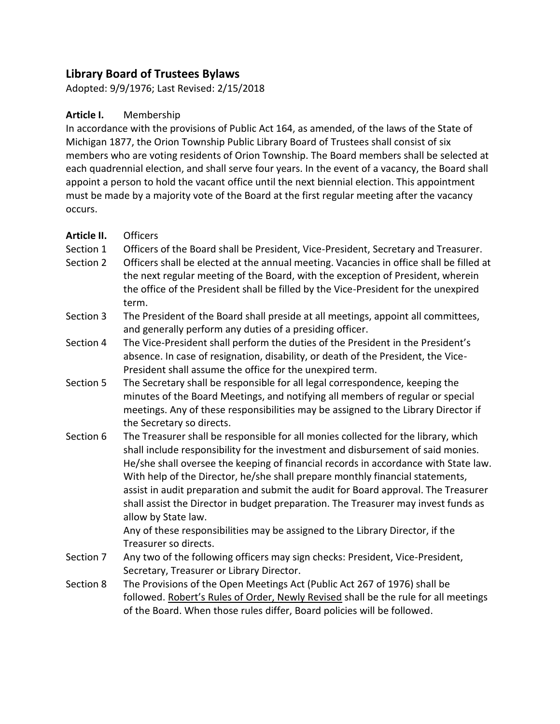# **Library Board of Trustees Bylaws**

Adopted: 9/9/1976; Last Revised: 2/15/2018

#### **Article I.** Membership

In accordance with the provisions of Public Act 164, as amended, of the laws of the State of Michigan 1877, the Orion Township Public Library Board of Trustees shall consist of six members who are voting residents of Orion Township. The Board members shall be selected at each quadrennial election, and shall serve four years. In the event of a vacancy, the Board shall appoint a person to hold the vacant office until the next biennial election. This appointment must be made by a majority vote of the Board at the first regular meeting after the vacancy occurs.

#### **Article II.** Officers

- Section 1 Officers of the Board shall be President, Vice-President, Secretary and Treasurer.
- Section 2 Officers shall be elected at the annual meeting. Vacancies in office shall be filled at the next regular meeting of the Board, with the exception of President, wherein the office of the President shall be filled by the Vice-President for the unexpired term.
- Section 3 The President of the Board shall preside at all meetings, appoint all committees, and generally perform any duties of a presiding officer.
- Section 4 The Vice-President shall perform the duties of the President in the President's absence. In case of resignation, disability, or death of the President, the Vice-President shall assume the office for the unexpired term.
- Section 5 The Secretary shall be responsible for all legal correspondence, keeping the minutes of the Board Meetings, and notifying all members of regular or special meetings. Any of these responsibilities may be assigned to the Library Director if the Secretary so directs.
- Section 6 The Treasurer shall be responsible for all monies collected for the library, which shall include responsibility for the investment and disbursement of said monies. He/she shall oversee the keeping of financial records in accordance with State law. With help of the Director, he/she shall prepare monthly financial statements, assist in audit preparation and submit the audit for Board approval. The Treasurer shall assist the Director in budget preparation. The Treasurer may invest funds as allow by State law.

Any of these responsibilities may be assigned to the Library Director, if the Treasurer so directs.

- Section 7 Any two of the following officers may sign checks: President, Vice-President, Secretary, Treasurer or Library Director.
- Section 8 The Provisions of the Open Meetings Act (Public Act 267 of 1976) shall be followed. Robert's Rules of Order, Newly Revised shall be the rule for all meetings of the Board. When those rules differ, Board policies will be followed.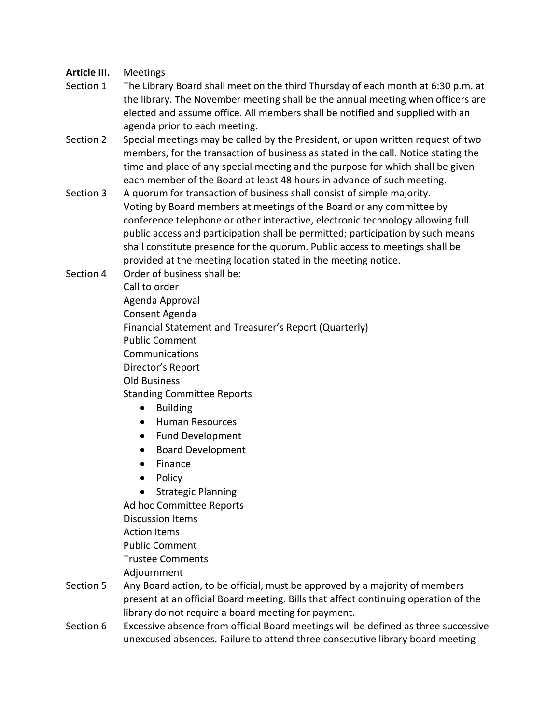### **Article III.** Meetings

- Section 1 The Library Board shall meet on the third Thursday of each month at 6:30 p.m. at the library. The November meeting shall be the annual meeting when officers are elected and assume office. All members shall be notified and supplied with an agenda prior to each meeting.
- Section 2 Special meetings may be called by the President, or upon written request of two members, for the transaction of business as stated in the call. Notice stating the time and place of any special meeting and the purpose for which shall be given each member of the Board at least 48 hours in advance of such meeting.
- Section 3 A quorum for transaction of business shall consist of simple majority. Voting by Board members at meetings of the Board or any committee by conference telephone or other interactive, electronic technology allowing full public access and participation shall be permitted; participation by such means shall constitute presence for the quorum. Public access to meetings shall be provided at the meeting location stated in the meeting notice.
- Section 4 Order of business shall be: Call to order Agenda Approval Consent Agenda Financial Statement and Treasurer's Report (Quarterly)
	- Public Comment
	- Communications
	- Director's Report
	- Old Business
	- Standing Committee Reports
		- Building
		- Human Resources
		- Fund Development
		- Board Development
		- Finance
		- Policy
		- Strategic Planning

Ad hoc Committee Reports Discussion Items

Action Items

Public Comment

Trustee Comments

Adjournment

- Section 5 Any Board action, to be official, must be approved by a majority of members present at an official Board meeting. Bills that affect continuing operation of the library do not require a board meeting for payment.
- Section 6 Excessive absence from official Board meetings will be defined as three successive unexcused absences. Failure to attend three consecutive library board meeting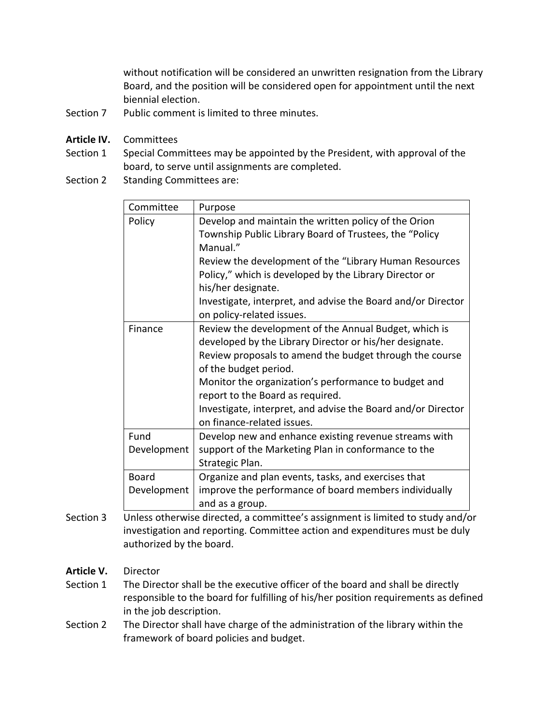without notification will be considered an unwritten resignation from the Library Board, and the position will be considered open for appointment until the next biennial election.

- Section 7 Public comment is limited to three minutes.
- **Article IV.** Committees
- Section 1 Special Committees may be appointed by the President, with approval of the board, to serve until assignments are completed.
- Section 2 Standing Committees are:

| Committee    | Purpose                                                      |
|--------------|--------------------------------------------------------------|
| Policy       | Develop and maintain the written policy of the Orion         |
|              | Township Public Library Board of Trustees, the "Policy       |
|              | Manual."                                                     |
|              | Review the development of the "Library Human Resources       |
|              | Policy," which is developed by the Library Director or       |
|              | his/her designate.                                           |
|              | Investigate, interpret, and advise the Board and/or Director |
|              | on policy-related issues.                                    |
| Finance      | Review the development of the Annual Budget, which is        |
|              | developed by the Library Director or his/her designate.      |
|              | Review proposals to amend the budget through the course      |
|              | of the budget period.                                        |
|              | Monitor the organization's performance to budget and         |
|              | report to the Board as required.                             |
|              | Investigate, interpret, and advise the Board and/or Director |
|              | on finance-related issues.                                   |
| Fund         | Develop new and enhance existing revenue streams with        |
| Development  | support of the Marketing Plan in conformance to the          |
|              | Strategic Plan.                                              |
| <b>Board</b> | Organize and plan events, tasks, and exercises that          |
| Development  | improve the performance of board members individually        |
|              | and as a group.                                              |

- Section 3 Unless otherwise directed, a committee's assignment is limited to study and/or investigation and reporting. Committee action and expenditures must be duly authorized by the board.
- **Article V.** Director
- Section 1 The Director shall be the executive officer of the board and shall be directly responsible to the board for fulfilling of his/her position requirements as defined in the job description.
- Section 2 The Director shall have charge of the administration of the library within the framework of board policies and budget.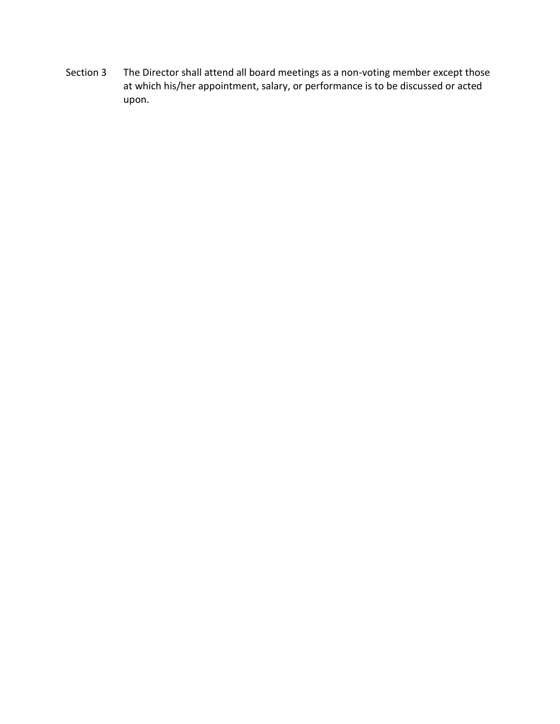Section 3 The Director shall attend all board meetings as a non-voting member except those at which his/her appointment, salary, or performance is to be discussed or acted upon.